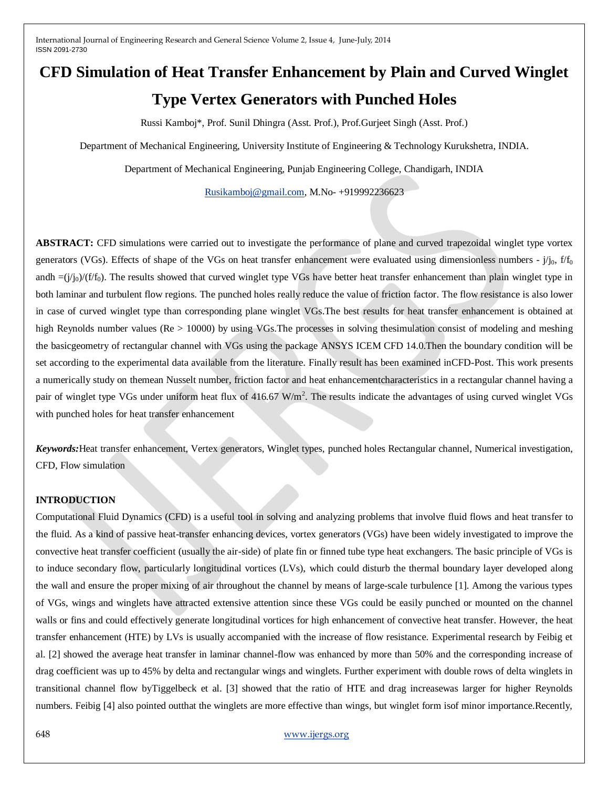# **CFD Simulation of Heat Transfer Enhancement by Plain and Curved Winglet Type Vertex Generators with Punched Holes**

Russi Kamboj\*, Prof. Sunil Dhingra (Asst. Prof.), Prof.Gurjeet Singh (Asst. Prof.)

Department of Mechanical Engineering, University Institute of Engineering & Technology Kurukshetra, INDIA.

Department of Mechanical Engineering, Punjab Engineering College, Chandigarh, INDIA

[Rusikamboj@gmail.com,](mailto:Rusikamboj@gmail.com) M.No- +919992236623

**ABSTRACT:** CFD simulations were carried out to investigate the performance of plane and curved trapezoidal winglet type vortex generators (VGs). Effects of shape of the VGs on heat transfer enhancement were evaluated using dimensionless numbers -  $j_{0}$ ,  $f_{0}$ andh  $=(j'_{0})/(f'_{0})$ . The results showed that curved winglet type VGs have better heat transfer enhancement than plain winglet type in both laminar and turbulent flow regions. The punched holes really reduce the value of friction factor. The flow resistance is also lower in case of curved winglet type than corresponding plane winglet VGs.The best results for heat transfer enhancement is obtained at high Reynolds number values (Re > 10000) by using VGs. The processes in solving thesimulation consist of modeling and meshing the basicgeometry of rectangular channel with VGs using the package ANSYS ICEM CFD 14.0.Then the boundary condition will be set according to the experimental data available from the literature. Finally result has been examined inCFD-Post. This work presents a numerically study on themean Nusselt number, friction factor and heat enhancementcharacteristics in a rectangular channel having a pair of winglet type VGs under uniform heat flux of 416.67  $W/m^2$ . The results indicate the advantages of using curved winglet VGs with punched holes for heat transfer enhancement

*Keywords:*Heat transfer enhancement, Vertex generators, Winglet types, punched holes Rectangular channel, Numerical investigation, CFD, Flow simulation

#### **INTRODUCTION**

Computational Fluid Dynamics (CFD) is a useful tool in solving and analyzing problems that involve fluid flows and heat transfer to the fluid. As a kind of passive heat-transfer enhancing devices, vortex generators (VGs) have been widely investigated to improve the convective heat transfer coefficient (usually the air-side) of plate fin or finned tube type heat exchangers. The basic principle of VGs is to induce secondary flow, particularly longitudinal vortices (LVs), which could disturb the thermal boundary layer developed along the wall and ensure the proper mixing of air throughout the channel by means of large-scale turbulence [1]. Among the various types of VGs, wings and winglets have attracted extensive attention since these VGs could be easily punched or mounted on the channel walls or fins and could effectively generate longitudinal vortices for high enhancement of convective heat transfer. However, the heat transfer enhancement (HTE) by LVs is usually accompanied with the increase of flow resistance. Experimental research by Feibig et al. [2] showed the average heat transfer in laminar channel-flow was enhanced by more than 50% and the corresponding increase of drag coefficient was up to 45% by delta and rectangular wings and winglets. Further experiment with double rows of delta winglets in transitional channel flow byTiggelbeck et al. [3] showed that the ratio of HTE and drag increasewas larger for higher Reynolds numbers. Feibig [4] also pointed outthat the winglets are more effective than wings, but winglet form isof minor importance.Recently,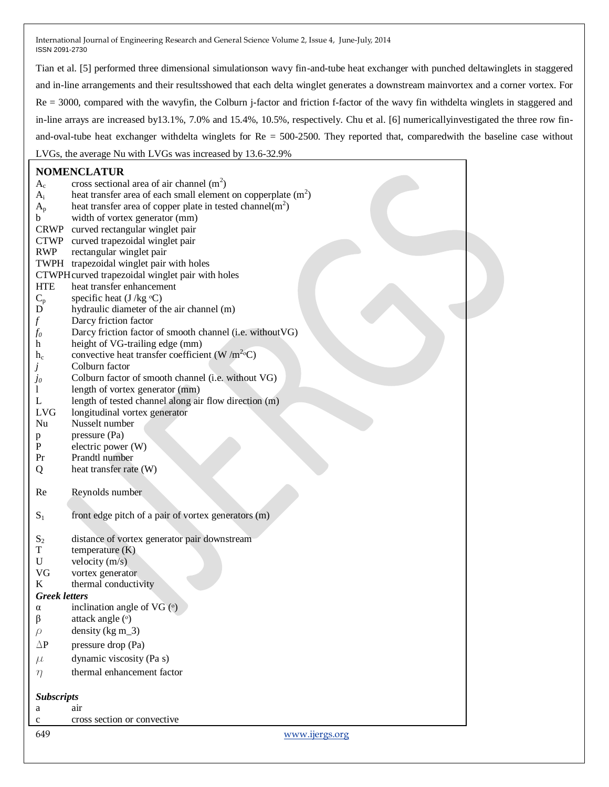Tian et al. [5] performed three dimensional simulationson wavy fin-and-tube heat exchanger with punched deltawinglets in staggered and in-line arrangements and their resultsshowed that each delta winglet generates a downstream mainvortex and a corner vortex. For Re = 3000, compared with the wavyfin, the Colburn j-factor and friction f-factor of the wavy fin withdelta winglets in staggered and in-line arrays are increased by13.1%, 7.0% and 15.4%, 10.5%, respectively. Chu et al. [6] numericallyinvestigated the three row finand-oval-tube heat exchanger withdelta winglets for Re = 500-2500. They reported that, comparedwith the baseline case without LVGs, the average Nu with LVGs was increased by 13.6-32.9%

## **NOMENCLATUR**

|                      | <b>NOMENCLATUR</b>                                             |  |  |  |
|----------------------|----------------------------------------------------------------|--|--|--|
| $A_c$                | cross sectional area of air channel $(m2)$                     |  |  |  |
| $A_i$                | heat transfer area of each small element on copperplate $(m2)$ |  |  |  |
| $A_{p}$              | heat transfer area of copper plate in tested channel $(m2)$    |  |  |  |
| b                    | width of vortex generator (mm)                                 |  |  |  |
| CRWP                 | curved rectangular winglet pair                                |  |  |  |
| <b>CTWP</b>          | curved trapezoidal winglet pair                                |  |  |  |
| <b>RWP</b>           | rectangular winglet pair                                       |  |  |  |
|                      | TWPH trapezoidal winglet pair with holes                       |  |  |  |
|                      | CTWPH curved trapezoidal winglet pair with holes               |  |  |  |
| <b>HTE</b>           | heat transfer enhancement                                      |  |  |  |
| $C_{p}$              | specific heat $(J/kg °C)$                                      |  |  |  |
| D                    | hydraulic diameter of the air channel (m)                      |  |  |  |
| f                    | Darcy friction factor                                          |  |  |  |
| fo                   | Darcy friction factor of smooth channel (i.e. without VG)      |  |  |  |
| h                    | height of VG-trailing edge (mm)                                |  |  |  |
| $h_c$                | convective heat transfer coefficient (W /m <sup>2</sup> °C)    |  |  |  |
| J                    | Colburn factor                                                 |  |  |  |
| $_{Jo}$              | Colburn factor of smooth channel (i.e. without VG)             |  |  |  |
| 1                    | length of vortex generator (mm)                                |  |  |  |
| L                    | length of tested channel along air flow direction (m)          |  |  |  |
| <b>LVG</b>           | longitudinal vortex generator                                  |  |  |  |
| Nu                   | Nusselt number                                                 |  |  |  |
| p                    | pressure (Pa)                                                  |  |  |  |
| P                    | electric power (W)                                             |  |  |  |
| Pr                   | Prandtl number                                                 |  |  |  |
| Q                    | heat transfer rate (W)                                         |  |  |  |
| Re                   | Reynolds number                                                |  |  |  |
| $S_1$                | front edge pitch of a pair of vortex generators (m)            |  |  |  |
| $S_2$                | distance of vortex generator pair downstream                   |  |  |  |
| T                    | temperature (K)                                                |  |  |  |
| U                    | velocity $(m/s)$                                               |  |  |  |
| VG                   | vortex generator                                               |  |  |  |
| K                    | thermal conductivity                                           |  |  |  |
| <b>Greek letters</b> |                                                                |  |  |  |
| α                    | inclination angle of VG $(°)$                                  |  |  |  |
| $\beta$              | attack angle (°)                                               |  |  |  |
| $\rho$               | density ( $kg \, m_3$ )                                        |  |  |  |
| $\Delta P$           | pressure drop (Pa)                                             |  |  |  |
| $\mu$                | dynamic viscosity (Pa s)                                       |  |  |  |
| $\eta$               | thermal enhancement factor                                     |  |  |  |
| <b>Subscripts</b>    |                                                                |  |  |  |
| a                    | air                                                            |  |  |  |
| $\mathbf c$          | cross section or convective                                    |  |  |  |
|                      |                                                                |  |  |  |
| 649                  | www.ijergs.org                                                 |  |  |  |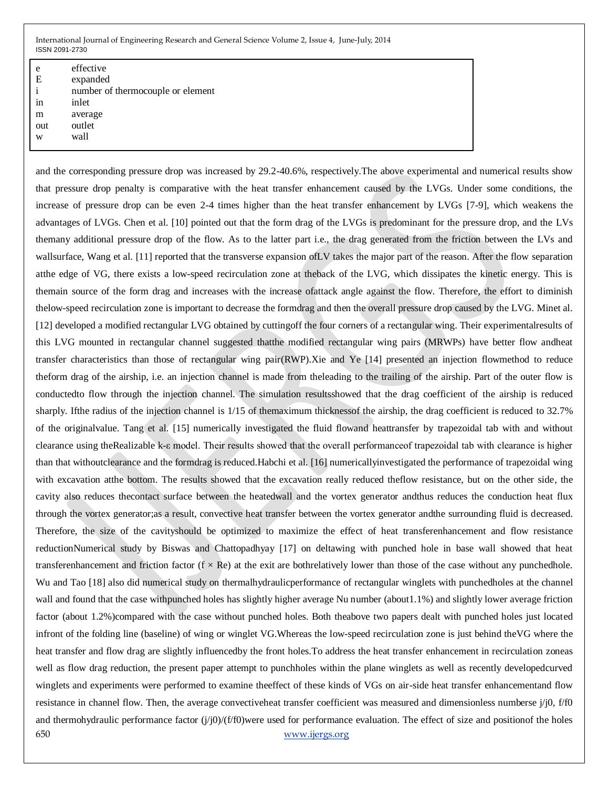| e   | effective                         |
|-----|-----------------------------------|
| E   | expanded                          |
| i   | number of thermocouple or element |
| in  | inlet                             |
| m   | average                           |
| out | outlet                            |
| w   | wall                              |

650 [www.ijergs.org](http://www.ijergs.org/) and the corresponding pressure drop was increased by 29.2-40.6%, respectively.The above experimental and numerical results show that pressure drop penalty is comparative with the heat transfer enhancement caused by the LVGs. Under some conditions, the increase of pressure drop can be even 2-4 times higher than the heat transfer enhancement by LVGs [7-9], which weakens the advantages of LVGs. Chen et al. [10] pointed out that the form drag of the LVGs is predominant for the pressure drop, and the LVs themany additional pressure drop of the flow. As to the latter part i.e., the drag generated from the friction between the LVs and wallsurface, Wang et al. [11] reported that the transverse expansion of LV takes the major part of the reason. After the flow separation atthe edge of VG, there exists a low-speed recirculation zone at theback of the LVG, which dissipates the kinetic energy. This is themain source of the form drag and increases with the increase ofattack angle against the flow. Therefore, the effort to diminish thelow-speed recirculation zone is important to decrease the formdrag and then the overall pressure drop caused by the LVG. Minet al. [12] developed a modified rectangular LVG obtained by cuttingoff the four corners of a rectangular wing. Their experimentalresults of this LVG mounted in rectangular channel suggested thatthe modified rectangular wing pairs (MRWPs) have better flow andheat transfer characteristics than those of rectangular wing pair(RWP).Xie and Ye [14] presented an injection flowmethod to reduce theform drag of the airship, i.e. an injection channel is made from theleading to the trailing of the airship. Part of the outer flow is conductedto flow through the injection channel. The simulation resultsshowed that the drag coefficient of the airship is reduced sharply. Ifthe radius of the injection channel is 1/15 of themaximum thicknessof the airship, the drag coefficient is reduced to 32.7% of the originalvalue. Tang et al. [15] numerically investigated the fluid flowand heattransfer by trapezoidal tab with and without clearance using theRealizable k-ε model. Their results showed that the overall performanceof trapezoidal tab with clearance is higher than that withoutclearance and the formdrag is reduced.Habchi et al. [16] numericallyinvestigated the performance of trapezoidal wing with excavation atthe bottom. The results showed that the excavation really reduced theflow resistance, but on the other side, the cavity also reduces thecontact surface between the heatedwall and the vortex generator andthus reduces the conduction heat flux through the vortex generator;as a result, convective heat transfer between the vortex generator andthe surrounding fluid is decreased. Therefore, the size of the cavityshould be optimized to maximize the effect of heat transferenhancement and flow resistance reductionNumerical study by Biswas and Chattopadhyay [17] on deltawing with punched hole in base wall showed that heat transferenhancement and friction factor  $(f \times Re)$  at the exit are bothrelatively lower than those of the case without any punchedhole. Wu and Tao [18] also did numerical study on thermalhydraulicperformance of rectangular winglets with punchedholes at the channel wall and found that the case withpunched holes has slightly higher average Nu number (about1.1%) and slightly lower average friction factor (about 1.2%)compared with the case without punched holes. Both theabove two papers dealt with punched holes just located infront of the folding line (baseline) of wing or winglet VG.Whereas the low-speed recirculation zone is just behind theVG where the heat transfer and flow drag are slightly influencedby the front holes.To address the heat transfer enhancement in recirculation zoneas well as flow drag reduction, the present paper attempt to punchholes within the plane winglets as well as recently developedcurved winglets and experiments were performed to examine theeffect of these kinds of VGs on air-side heat transfer enhancementand flow resistance in channel flow. Then, the average convectiveheat transfer coefficient was measured and dimensionless numberse j/j0, f/f0 and thermohydraulic performance factor  $(j/j0)/(f/f0)$  were used for performance evaluation. The effect of size and positionof the holes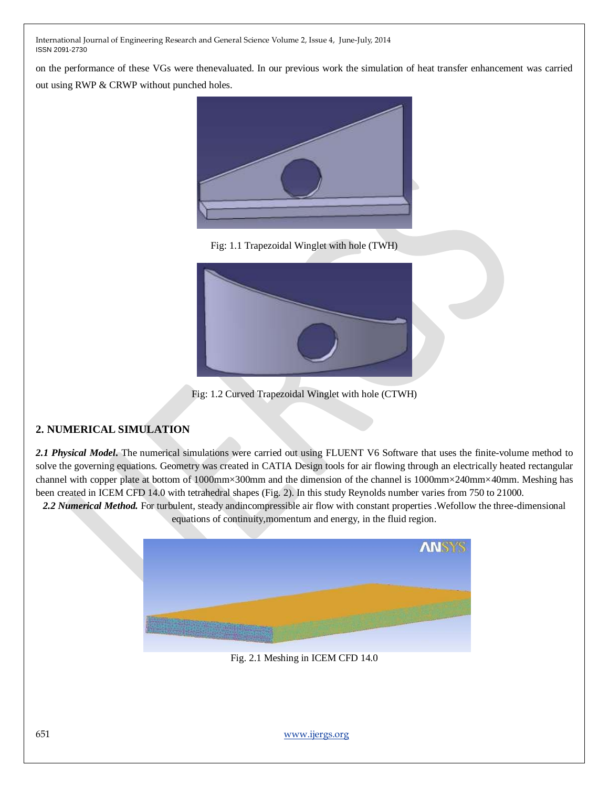on the performance of these VGs were thenevaluated. In our previous work the simulation of heat transfer enhancement was carried out using RWP & CRWP without punched holes.



Fig: 1.1 Trapezoidal Winglet with hole (TWH)



Fig: 1.2 Curved Trapezoidal Winglet with hole (CTWH)

## **2. NUMERICAL SIMULATION**

*2.1 Physical Model***.** The numerical simulations were carried out using FLUENT V6 Software that uses the finite-volume method to solve the governing equations. Geometry was created in CATIA Design tools for air flowing through an electrically heated rectangular channel with copper plate at bottom of 1000mm×300mm and the dimension of the channel is 1000mm×240mm×40mm. Meshing has been created in ICEM CFD 14.0 with tetrahedral shapes (Fig. 2). In this study Reynolds number varies from 750 to 21000.

*2.2 Numerical Method.* For turbulent, steady andincompressible air flow with constant properties .Wefollow the three-dimensional equations of continuity,momentum and energy, in the fluid region.



Fig. 2.1 Meshing in ICEM CFD 14.0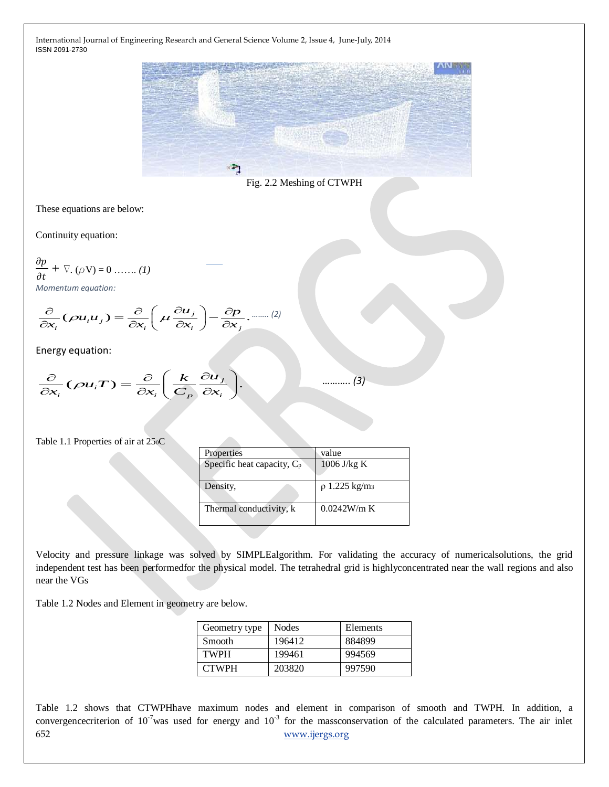

Fig. 2.2 Meshing of CTWPH

These equations are below:

Continuity equation:

$$
\frac{\partial p}{\partial t} + \nabla \cdot (\rho \mathbf{V}) = 0 \dots \dots (1)
$$
  
Momentum equation:

Momentum equation:  
\n
$$
\frac{\partial}{\partial x_i} (\rho u_i u_j) = \frac{\partial}{\partial x_i} \left( \mu \frac{\partial u_j}{\partial x_i} \right) - \frac{\partial p}{\partial x_j} \dots (2)
$$

Energy equation:

energy equation:  
\n
$$
\frac{\partial}{\partial x_i} (\rho u_i T) = \frac{\partial}{\partial x_i} \left( \frac{k}{C_p} \frac{\partial u_j}{\partial x_i} \right).
$$

……….. *(3)*

#### Table 1.1 Properties of air at 250C

| Properties                    | value                          |
|-------------------------------|--------------------------------|
| Specific heat capacity, $C_p$ | $1006$ J/kg K                  |
| Density,                      | $\rho$ 1.225 kg/m <sub>3</sub> |
| Thermal conductivity, k       | 0.0242W/m K                    |

Velocity and pressure linkage was solved by SIMPLEalgorithm. For validating the accuracy of numericalsolutions, the grid independent test has been performedfor the physical model. The tetrahedral grid is highlyconcentrated near the wall regions and also near the VGs

Table 1.2 Nodes and Element in geometry are below.

| Geometry type | Nodes  | Elements |
|---------------|--------|----------|
| <b>Smooth</b> | 196412 | 884899   |
| <b>TWPH</b>   | 199461 | 994569   |
| <b>CTWPH</b>  | 203820 | 997590   |

652 [www.ijergs.org](http://www.ijergs.org/) Table 1.2 shows that CTWPHhave maximum nodes and element in comparison of smooth and TWPH. In addition, a convergencecriterion of  $10^{-7}$  was used for energy and  $10^{-3}$  for the massconservation of the calculated parameters. The air inlet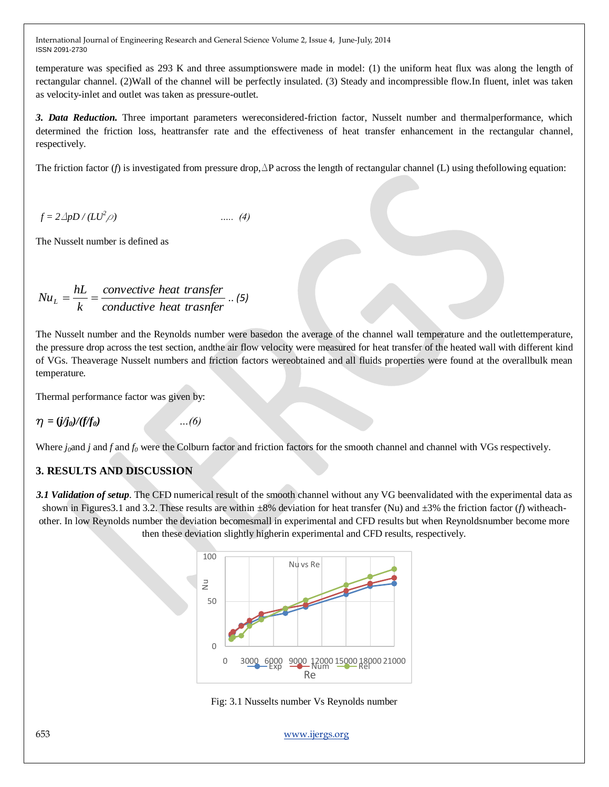temperature was specified as 293 K and three assumptionswere made in model: (1) the uniform heat flux was along the length of rectangular channel. (2)Wall of the channel will be perfectly insulated. (3) Steady and incompressible flow.In fluent, inlet was taken as velocity-inlet and outlet was taken as pressure-outlet.

*3. Data Reduction.* Three important parameters wereconsidered-friction factor, Nusselt number and thermalperformance, which determined the friction loss, heattransfer rate and the effectiveness of heat transfer enhancement in the rectangular channel, respectively.

The friction factor (*f*) is investigated from pressure drop,  $\Delta P$  across the length of rectangular channel (L) using the following equation:

$$
f = 2\Delta pD / (LU^2 \rho) \qquad \qquad \dots \quad (4)
$$

The Nusselt number is defined as

$$
Nu_{L} = \frac{hL}{k} = \frac{convective heat transfer}{conductive heat transfer} \dots (5)
$$

The Nusselt number and the Reynolds number were basedon the average of the channel wall temperature and the outlettemperature, the pressure drop across the test section, andthe air flow velocity were measured for heat transfer of the heated wall with different kind of VGs. Theaverage Nusselt numbers and friction factors wereobtained and all fluids properties were found at the overallbulk mean temperature.

Thermal performance factor was given by:

$$
\eta = (j/j_{0})/(f/f_{0})
$$

 $m(f)(6)$ 

Where *j*<sub>0</sub>and *j* and *f* and *f*<sub>0</sub> were the Colburn factor and friction factors for the smooth channel and channel with VGs respectively.

## **3. RESULTS AND DISCUSSION**

*3.1 Validation of setup*. The CFD numerical result of the smooth channel without any VG beenvalidated with the experimental data as shown in Figures3.1 and 3.2. These results are within ±8% deviation for heat transfer (Nu) and ±3% the friction factor (*f*) witheachother. In low Reynolds number the deviation becomesmall in experimental and CFD results but when Reynoldsnumber become more then these deviation slightly higherin experimental and CFD results, respectively.



Fig: 3.1 Nusselts number Vs Reynolds number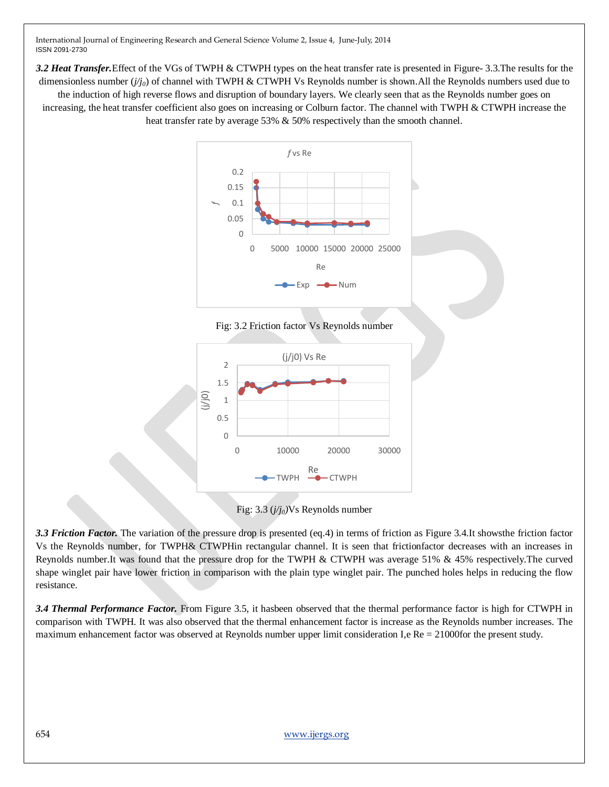*3.2 Heat Transfer.*Effect of the VGs of TWPH & CTWPH types on the heat transfer rate is presented in Figure- 3.3.The results for the dimensionless number ( $j/j_0$ ) of channel with TWPH & CTWPH Vs Reynolds number is shown.All the Reynolds numbers used due to the induction of high reverse flows and disruption of boundary layers. We clearly seen that as the Reynolds number goes on increasing, the heat transfer coefficient also goes on increasing or Colburn factor. The channel with TWPH & CTWPH increase the heat transfer rate by average 53% & 50% respectively than the smooth channel.









*3.3 Friction Factor.* The variation of the pressure drop is presented (eq.4) in terms of friction as Figure 3.4.It showsthe friction factor Vs the Reynolds number, for TWPH& CTWPHin rectangular channel. It is seen that frictionfactor decreases with an increases in Reynolds number.It was found that the pressure drop for the TWPH & CTWPH was average 51% & 45% respectively.The curved shape winglet pair have lower friction in comparison with the plain type winglet pair. The punched holes helps in reducing the flow resistance.

*3.4 Thermal Performance Factor.* From Figure 3.5, it hasbeen observed that the thermal performance factor is high for CTWPH in comparison with TWPH. It was also observed that the thermal enhancement factor is increase as the Reynolds number increases. The maximum enhancement factor was observed at Reynolds number upper limit consideration I,e Re = 21000for the present study.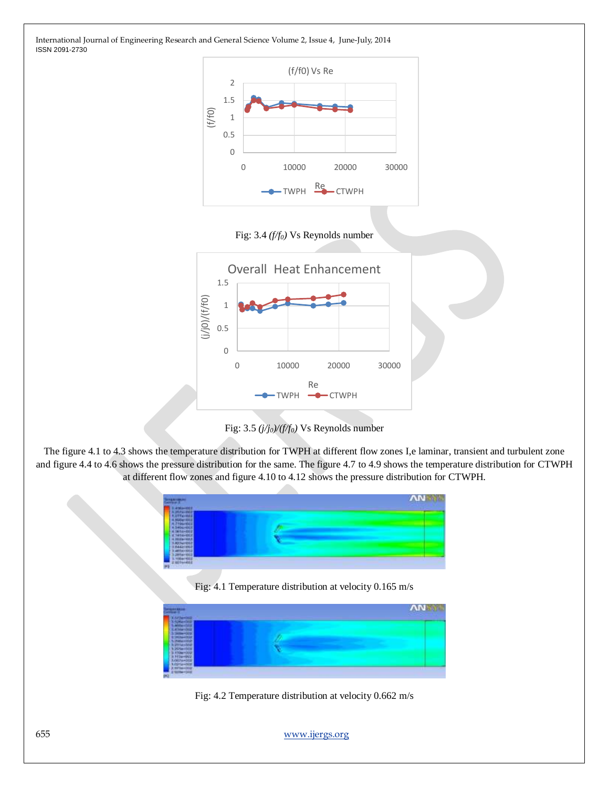

Fig: 3.4 *(f/f0)* Vs Reynolds number





The figure 4.1 to 4.3 shows the temperature distribution for TWPH at different flow zones I,e laminar, transient and turbulent zone and figure 4.4 to 4.6 shows the pressure distribution for the same. The figure 4.7 to 4.9 shows the temperature distribution for CTWPH at different flow zones and figure 4.10 to 4.12 shows the pressure distribution for CTWPH.



Fig: 4.2 Temperature distribution at velocity 0.662 m/s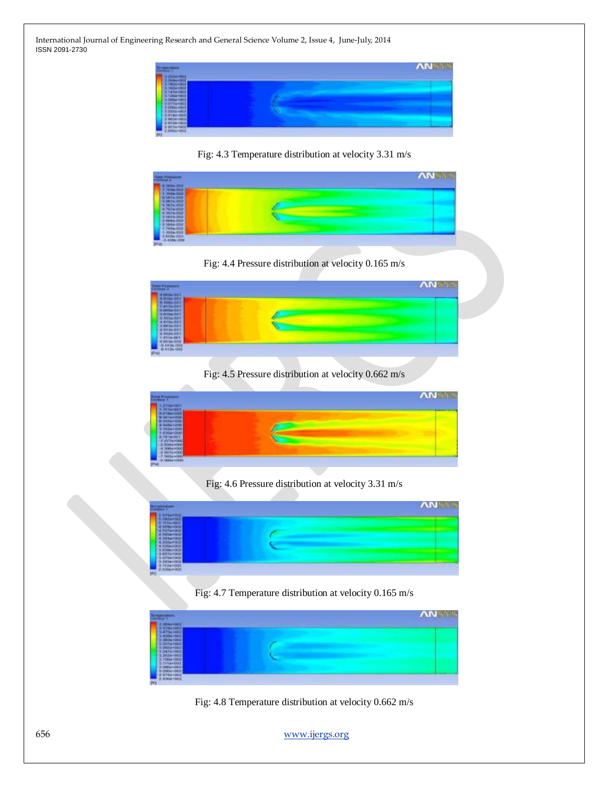

Fig: 4.3 Temperature distribution at velocity 3.31 m/s



Fig: 4.4 Pressure distribution at velocity 0.165 m/s



Fig: 4.5 Pressure distribution at velocity 0.662 m/s



Fig: 4.6 Pressure distribution at velocity 3.31 m/s



Fig: 4.7 Temperature distribution at velocity 0.165 m/s



Fig: 4.8 Temperature distribution at velocity 0.662 m/s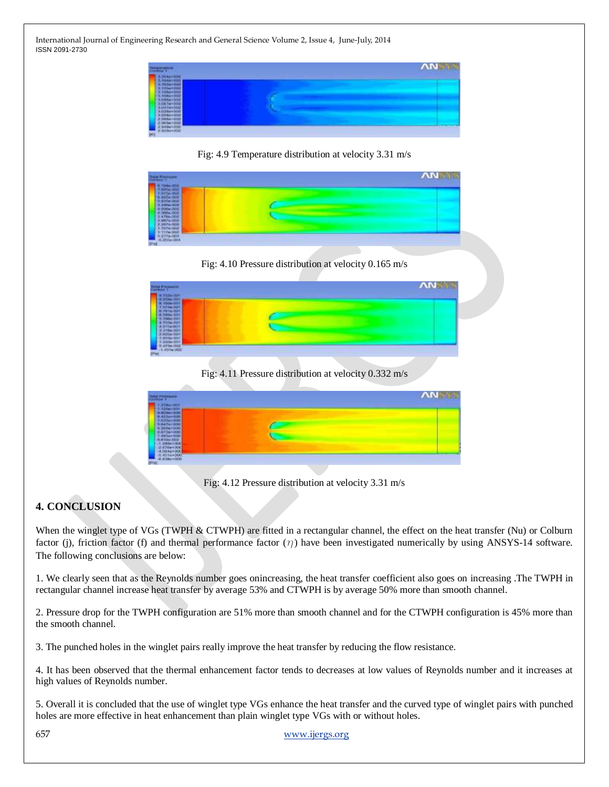

Fig: 4.9 Temperature distribution at velocity 3.31 m/s



Fig: 4.10 Pressure distribution at velocity 0.165 m/s



Fig: 4.11 Pressure distribution at velocity 0.332 m/s



Fig: 4.12 Pressure distribution at velocity 3.31 m/s

# **4. CONCLUSION**

When the winglet type of VGs (TWPH & CTWPH) are fitted in a rectangular channel, the effect on the heat transfer (Nu) or Colburn factor (j), friction factor (f) and thermal performance factor  $(\gamma)$  have been investigated numerically by using ANSYS-14 software. The following conclusions are below:

1. We clearly seen that as the Reynolds number goes onincreasing, the heat transfer coefficient also goes on increasing .The TWPH in rectangular channel increase heat transfer by average 53% and CTWPH is by average 50% more than smooth channel.

2. Pressure drop for the TWPH configuration are 51% more than smooth channel and for the CTWPH configuration is 45% more than the smooth channel.

3. The punched holes in the winglet pairs really improve the heat transfer by reducing the flow resistance.

4. It has been observed that the thermal enhancement factor tends to decreases at low values of Reynolds number and it increases at high values of Reynolds number.

5. Overall it is concluded that the use of winglet type VGs enhance the heat transfer and the curved type of winglet pairs with punched holes are more effective in heat enhancement than plain winglet type VGs with or without holes.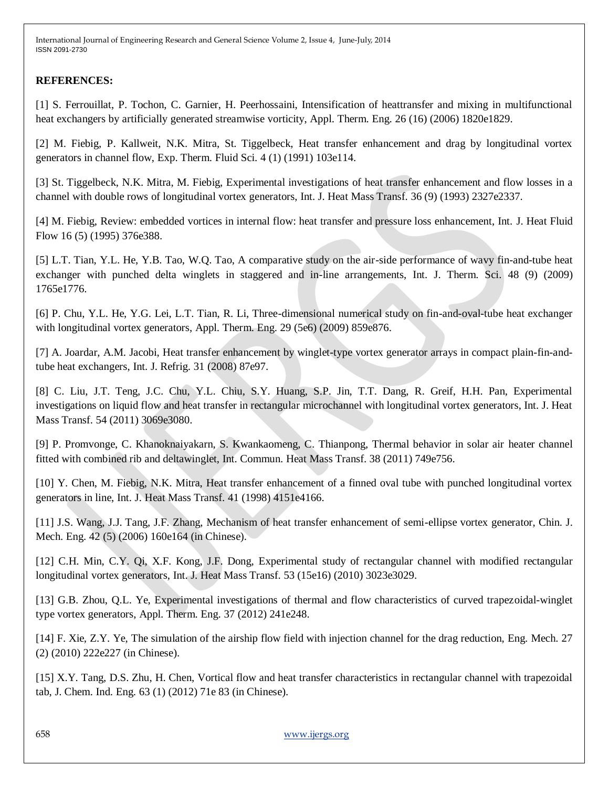### **REFERENCES:**

[1] S. Ferrouillat, P. Tochon, C. Garnier, H. Peerhossaini, Intensification of heattransfer and mixing in multifunctional heat exchangers by artificially generated streamwise vorticity, Appl. Therm. Eng. 26 (16) (2006) 1820e1829.

[2] M. Fiebig, P. Kallweit, N.K. Mitra, St. Tiggelbeck, Heat transfer enhancement and drag by longitudinal vortex generators in channel flow, Exp. Therm. Fluid Sci. 4 (1) (1991) 103e114.

[3] St. Tiggelbeck, N.K. Mitra, M. Fiebig, Experimental investigations of heat transfer enhancement and flow losses in a channel with double rows of longitudinal vortex generators, Int. J. Heat Mass Transf. 36 (9) (1993) 2327e2337.

[4] M. Fiebig, Review: embedded vortices in internal flow: heat transfer and pressure loss enhancement, Int. J. Heat Fluid Flow 16 (5) (1995) 376e388.

[5] L.T. Tian, Y.L. He, Y.B. Tao, W.Q. Tao, A comparative study on the air-side performance of wavy fin-and-tube heat exchanger with punched delta winglets in staggered and in-line arrangements, Int. J. Therm. Sci. 48 (9) (2009) 1765e1776.

[6] P. Chu, Y.L. He, Y.G. Lei, L.T. Tian, R. Li, Three-dimensional numerical study on fin-and-oval-tube heat exchanger with longitudinal vortex generators, Appl. Therm. Eng. 29 (5e6) (2009) 859e876.

[7] A. Joardar, A.M. Jacobi, Heat transfer enhancement by winglet-type vortex generator arrays in compact plain-fin-andtube heat exchangers, Int. J. Refrig. 31 (2008) 87e97.

[8] C. Liu, J.T. Teng, J.C. Chu, Y.L. Chiu, S.Y. Huang, S.P. Jin, T.T. Dang, R. Greif, H.H. Pan, Experimental investigations on liquid flow and heat transfer in rectangular microchannel with longitudinal vortex generators, Int. J. Heat Mass Transf. 54 (2011) 3069e3080.

[9] P. Promvonge, C. Khanoknaiyakarn, S. Kwankaomeng, C. Thianpong, Thermal behavior in solar air heater channel fitted with combined rib and deltawinglet, Int. Commun. Heat Mass Transf. 38 (2011) 749e756.

[10] Y. Chen, M. Fiebig, N.K. Mitra, Heat transfer enhancement of a finned oval tube with punched longitudinal vortex generators in line, Int. J. Heat Mass Transf. 41 (1998) 4151e4166.

[11] J.S. Wang, J.J. Tang, J.F. Zhang, Mechanism of heat transfer enhancement of semi-ellipse vortex generator, Chin. J. Mech. Eng. 42 (5) (2006) 160e164 (in Chinese).

[12] C.H. Min, C.Y. Qi, X.F. Kong, J.F. Dong, Experimental study of rectangular channel with modified rectangular longitudinal vortex generators, Int. J. Heat Mass Transf. 53 (15e16) (2010) 3023e3029.

[13] G.B. Zhou, Q.L. Ye, Experimental investigations of thermal and flow characteristics of curved trapezoidal-winglet type vortex generators, Appl. Therm. Eng. 37 (2012) 241e248.

[14] F. Xie, Z.Y. Ye, The simulation of the airship flow field with injection channel for the drag reduction, Eng. Mech. 27 (2) (2010) 222e227 (in Chinese).

[15] X.Y. Tang, D.S. Zhu, H. Chen, Vortical flow and heat transfer characteristics in rectangular channel with trapezoidal tab, J. Chem. Ind. Eng. 63 (1) (2012) 71e 83 (in Chinese).